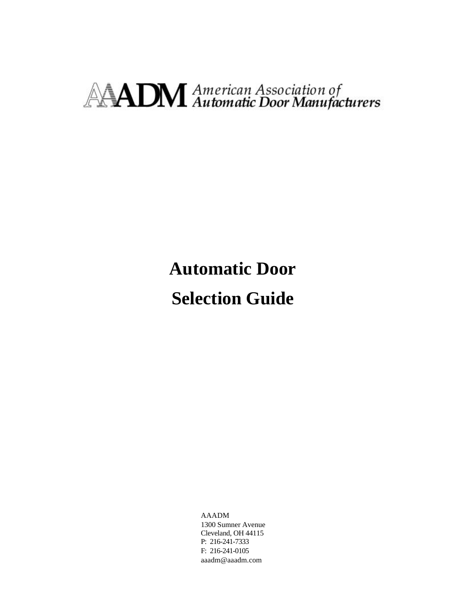# **AADM** American Association of

**Automatic Door Selection Guide**

> AAADM 1300 Sumner Avenue Cleveland, OH 44115 P: 216-241-7333 F: 216-241-0105 aaadm@aaadm.com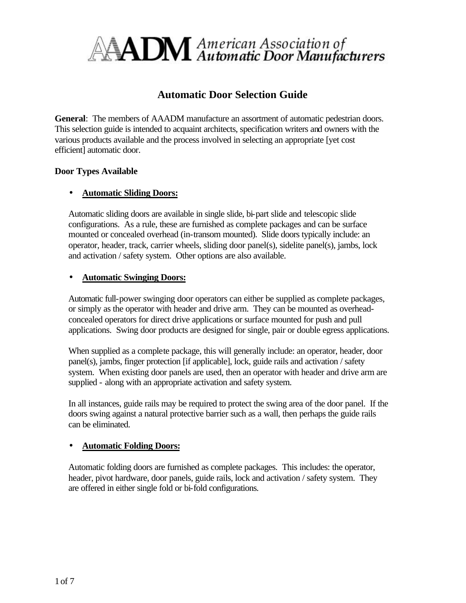

# **Automatic Door Selection Guide**

**General**: The members of AAADM manufacture an assortment of automatic pedestrian doors. This selection guide is intended to acquaint architects, specification writers and owners with the various products available and the process involved in selecting an appropriate [yet cost efficient] automatic door.

#### **Door Types Available**

# • **Automatic Sliding Doors:**

Automatic sliding doors are available in single slide, bi-part slide and telescopic slide configurations. As a rule, these are furnished as complete packages and can be surface mounted or concealed overhead (in-transom mounted). Slide doors typically include: an operator, header, track, carrier wheels, sliding door panel(s), sidelite panel(s), jambs, lock and activation / safety system. Other options are also available.

#### • **Automatic Swinging Doors:**

Automatic full-power swinging door operators can either be supplied as complete packages, or simply as the operator with header and drive arm. They can be mounted as overheadconcealed operators for direct drive applications or surface mounted for push and pull applications. Swing door products are designed for single, pair or double egress applications.

When supplied as a complete package, this will generally include: an operator, header, door panel(s), jambs, finger protection [if applicable], lock, guide rails and activation / safety system. When existing door panels are used, then an operator with header and drive arm are supplied - along with an appropriate activation and safety system.

In all instances, guide rails may be required to protect the swing area of the door panel. If the doors swing against a natural protective barrier such as a wall, then perhaps the guide rails can be eliminated.

#### • **Automatic Folding Doors:**

Automatic folding doors are furnished as complete packages. This includes: the operator, header, pivot hardware, door panels, guide rails, lock and activation / safety system. They are offered in either single fold or bi-fold configurations.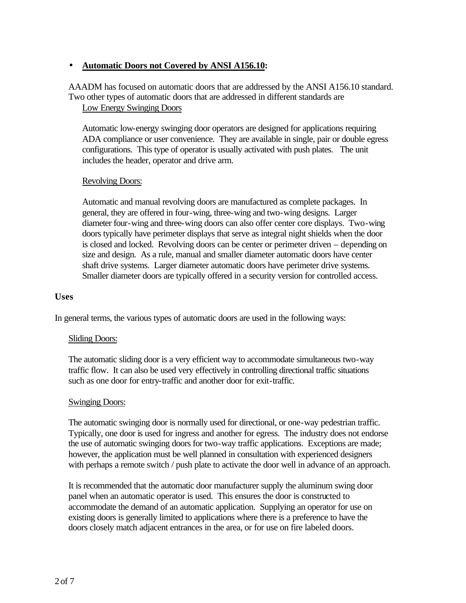# • **Automatic Doors not Covered by ANSI A156.10:**

AAADM has focused on automatic doors that are addressed by the ANSI A156.10 standard. Two other types of automatic doors that are addressed in different standards are Low Energy Swinging Doors

Automatic low-energy swinging door operators are designed for applications requiring ADA compliance or user convenience. They are available in single, pair or double egress configurations. This type of operator is usually activated with push plates. The unit includes the header, operator and drive arm.

#### Revolving Doors:

Automatic and manual revolving doors are manufactured as complete packages. In general, they are offered in four-wing, three-wing and two-wing designs. Larger diameter four-wing and three-wing doors can also offer center core displays. Two-wing doors typically have perimeter displays that serve as integral night shields when the door is closed and locked. Revolving doors can be center or perimeter driven – depending on size and design. As a rule, manual and smaller diameter automatic doors have center shaft drive systems. Larger diameter automatic doors have perimeter drive systems. Smaller diameter doors are typically offered in a security version for controlled access.

#### **Uses**

In general terms, the various types of automatic doors are used in the following ways:

#### Sliding Doors:

The automatic sliding door is a very efficient way to accommodate simultaneous two-way traffic flow. It can also be used very effectively in controlling directional traffic situations such as one door for entry-traffic and another door for exit-traffic.

#### Swinging Doors:

The automatic swinging door is normally used for directional, or one-way pedestrian traffic. Typically, one door is used for ingress and another for egress. The industry does not endorse the use of automatic swinging doors for two-way traffic applications. Exceptions are made; however, the application must be well planned in consultation with experienced designers with perhaps a remote switch / push plate to activate the door well in advance of an approach.

It is recommended that the automatic door manufacturer supply the aluminum swing door panel when an automatic operator is used. This ensures the door is constructed to accommodate the demand of an automatic application. Supplying an operator for use on existing doors is generally limited to applications where there is a preference to have the doors closely match adjacent entrances in the area, or for use on fire labeled doors.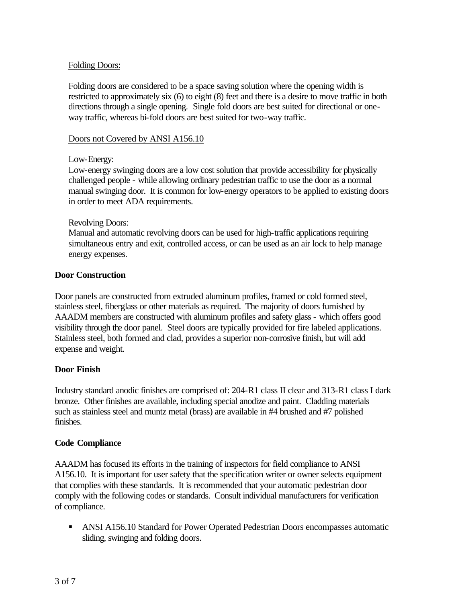# Folding Doors:

Folding doors are considered to be a space saving solution where the opening width is restricted to approximately six (6) to eight (8) feet and there is a desire to move traffic in both directions through a single opening. Single fold doors are best suited for directional or oneway traffic, whereas bi-fold doors are best suited for two-way traffic.

#### Doors not Covered by ANSI A156.10

# Low-Energy:

Low-energy swinging doors are a low cost solution that provide accessibility for physically challenged people - while allowing ordinary pedestrian traffic to use the door as a normal manual swinging door. It is common for low-energy operators to be applied to existing doors in order to meet ADA requirements.

#### Revolving Doors:

Manual and automatic revolving doors can be used for high-traffic applications requiring simultaneous entry and exit, controlled access, or can be used as an air lock to help manage energy expenses.

# **Door Construction**

Door panels are constructed from extruded aluminum profiles, framed or cold formed steel, stainless steel, fiberglass or other materials as required. The majority of doors furnished by AAADM members are constructed with aluminum profiles and safety glass - which offers good visibility through the door panel. Steel doors are typically provided for fire labeled applications. Stainless steel, both formed and clad, provides a superior non-corrosive finish, but will add expense and weight.

#### **Door Finish**

Industry standard anodic finishes are comprised of: 204-R1 class II clear and 313-R1 class I dark bronze. Other finishes are available, including special anodize and paint. Cladding materials such as stainless steel and muntz metal (brass) are available in #4 brushed and #7 polished finishes.

#### **Code Compliance**

AAADM has focused its efforts in the training of inspectors for field compliance to ANSI A156.10. It is important for user safety that the specification writer or owner selects equipment that complies with these standards. It is recommended that your automatic pedestrian door comply with the following codes or standards. Consult individual manufacturers for verification of compliance.

ANSI A156.10 Standard for Power Operated Pedestrian Doors encompasses automatic sliding, swinging and folding doors.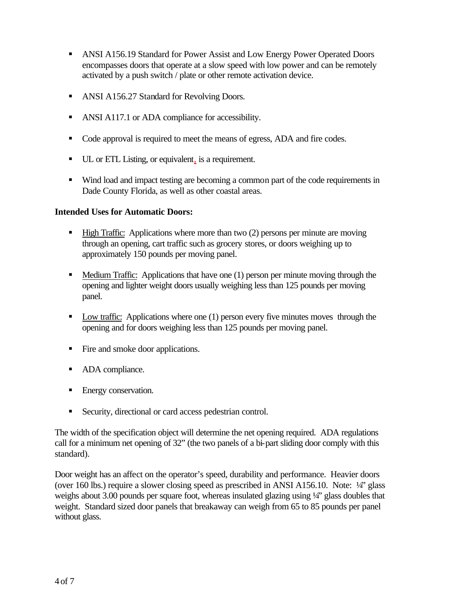- ANSI A156.19 Standard for Power Assist and Low Energy Power Operated Doors encompasses doors that operate at a slow speed with low power and can be remotely activated by a push switch / plate or other remote activation device.
- ANSI A156.27 Standard for Revolving Doors.
- ANSI A117.1 or ADA compliance for accessibility.
- Code approval is required to meet the means of egress, ADA and fire codes.
- UL or ETL Listing, or equivalent, is a requirement.
- ß Wind load and impact testing are becoming a common part of the code requirements in Dade County Florida, as well as other coastal areas.

# **Intended Uses for Automatic Doors:**

- **High Traffic:** Applications where more than two (2) persons per minute are moving through an opening, cart traffic such as grocery stores, or doors weighing up to approximately 150 pounds per moving panel.
- $\blacksquare$  Medium Traffic: Applications that have one (1) person per minute moving through the opening and lighter weight doors usually weighing less than 125 pounds per moving panel.
- $\blacksquare$  Low traffic: Applications where one (1) person every five minutes moves through the opening and for doors weighing less than 125 pounds per moving panel.
- Fire and smoke door applications.
- ADA compliance.
- Energy conservation.
- **Security, directional or card access pedestrian control.**

The width of the specification object will determine the net opening required. ADA regulations call for a minimum net opening of 32" (the two panels of a bi-part sliding door comply with this standard).

Door weight has an affect on the operator's speed, durability and performance. Heavier doors (over 160 lbs.) require a slower closing speed as prescribed in ANSI A156.10. Note: ¼" glass weighs about 3.00 pounds per square foot, whereas insulated glazing using  $\frac{1}{4}$  glass doubles that weight. Standard sized door panels that breakaway can weigh from 65 to 85 pounds per panel without glass.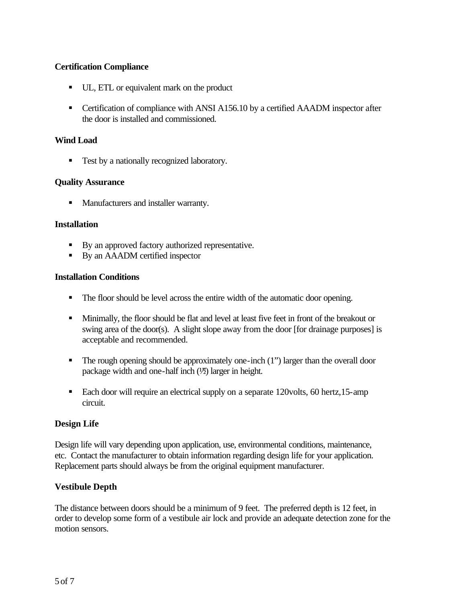# **Certification Compliance**

- UL, ETL or equivalent mark on the product
- Certification of compliance with ANSI A156.10 by a certified AAADM inspector after the door is installed and commissioned.

#### **Wind Load**

■ Test by a nationally recognized laboratory.

#### **Quality Assurance**

**•** Manufacturers and installer warranty.

#### **Installation**

- By an approved factory authorized representative.
- By an AAADM certified inspector

#### **Installation Conditions**

- The floor should be level across the entire width of the automatic door opening.
- **IDED** Minimally, the floor should be flat and level at least five feet in front of the breakout or swing area of the door(s). A slight slope away from the door [for drainage purposes] is acceptable and recommended.
- $\blacksquare$  The rough opening should be approximately one-inch (1") larger than the overall door package width and one-half inch  $(½)$  larger in height.
- Each door will require an electrical supply on a separate 120volts, 60 hertz,15-amp circuit.

#### **Design Life**

Design life will vary depending upon application, use, environmental conditions, maintenance, etc. Contact the manufacturer to obtain information regarding design life for your application. Replacement parts should always be from the original equipment manufacturer.

#### **Vestibule Depth**

The distance between doors should be a minimum of 9 feet. The preferred depth is 12 feet, in order to develop some form of a vestibule air lock and provide an adequate detection zone for the motion sensors.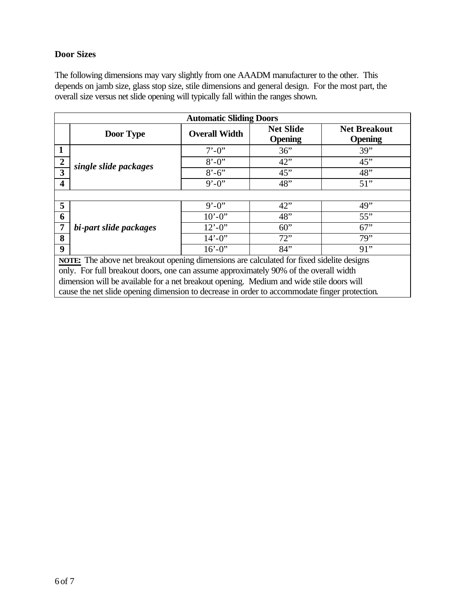# **Door Sizes**

The following dimensions may vary slightly from one AAADM manufacturer to the other. This depends on jamb size, glass stop size, stile dimensions and general design. For the most part, the overall size versus net slide opening will typically fall within the ranges shown.

| <b>Automatic Sliding Doors</b>                                                            |                                                                                                                                                                                                                                                                                                                        |                          |                                    |                                       |  |  |  |
|-------------------------------------------------------------------------------------------|------------------------------------------------------------------------------------------------------------------------------------------------------------------------------------------------------------------------------------------------------------------------------------------------------------------------|--------------------------|------------------------------------|---------------------------------------|--|--|--|
|                                                                                           | Door Type                                                                                                                                                                                                                                                                                                              | <b>Overall Width</b>     | <b>Net Slide</b><br><b>Opening</b> | <b>Net Breakout</b><br><b>Opening</b> |  |  |  |
| 1                                                                                         | single slide packages                                                                                                                                                                                                                                                                                                  | $7' - 0''$               | 36"                                | 39"                                   |  |  |  |
| $\overline{2}$                                                                            |                                                                                                                                                                                                                                                                                                                        | $8' - 0''$               | 42"                                | 45"                                   |  |  |  |
| 3                                                                                         |                                                                                                                                                                                                                                                                                                                        | $8' - 6'$                | 45"                                | 48"                                   |  |  |  |
| 4                                                                                         |                                                                                                                                                                                                                                                                                                                        | $9' - 0''$               | 48"                                | $51$ "                                |  |  |  |
|                                                                                           |                                                                                                                                                                                                                                                                                                                        |                          |                                    |                                       |  |  |  |
| 5                                                                                         | bi-part slide packages                                                                                                                                                                                                                                                                                                 | $9' - 0''$               | 42"                                | 49"                                   |  |  |  |
| 6                                                                                         |                                                                                                                                                                                                                                                                                                                        | $10^{\circ} - 0^{\circ}$ | 48"                                | 55"                                   |  |  |  |
|                                                                                           |                                                                                                                                                                                                                                                                                                                        | $12^{\circ} - 0^{\circ}$ | 60"                                | 67"                                   |  |  |  |
| 8                                                                                         |                                                                                                                                                                                                                                                                                                                        | $14' - 0''$              | 72"                                | 79"                                   |  |  |  |
| $\boldsymbol{9}$                                                                          |                                                                                                                                                                                                                                                                                                                        | $16' - 0$ "              | 84"                                | 91"                                   |  |  |  |
| NOTE: The above net breakout opening dimensions are calculated for fixed sidelite designs |                                                                                                                                                                                                                                                                                                                        |                          |                                    |                                       |  |  |  |
|                                                                                           | only. For full breakout doors, one can assume approximately 90% of the overall width<br>and the contract of the contract of the contract of the contract of the contract of the contract of the contract of the contract of the contract of the contract of the contract of the contract of the contract of the contra |                          |                                    |                                       |  |  |  |

dimension will be available for a net breakout opening. Medium and wide stile doors will

cause the net slide opening dimension to decrease in order to accommodate finger protection.